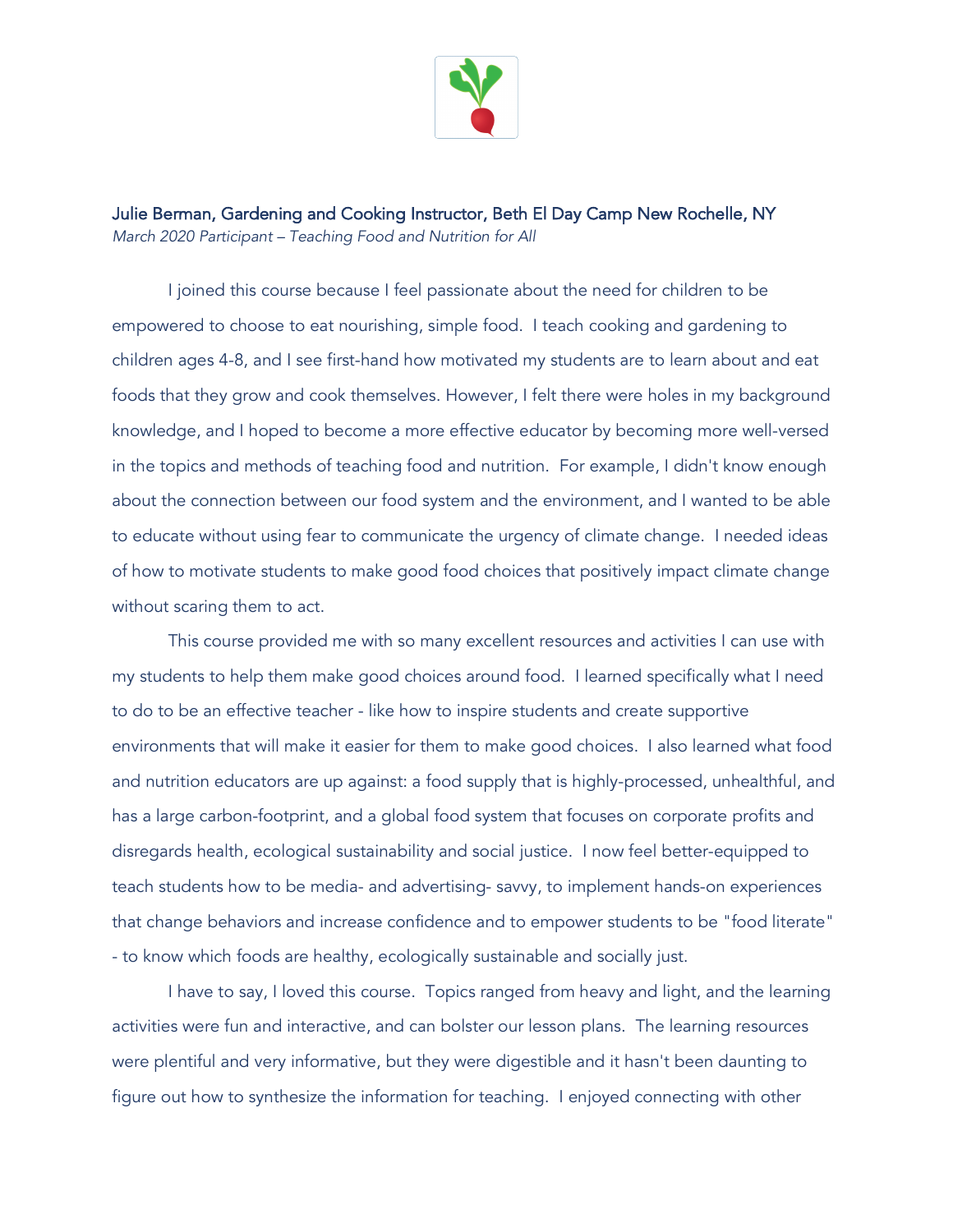

Julie Berman, Gardening and Cooking Instructor, Beth El Day Camp New Rochelle, NY *March 2020 Participant – Teaching Food and Nutrition for All* 

I joined this course because I feel passionate about the need for children to be empowered to choose to eat nourishing, simple food. I teach cooking and gardening to children ages 4-8, and I see first-hand how motivated my students are to learn about and eat foods that they grow and cook themselves. However, I felt there were holes in my background knowledge, and I hoped to become a more effective educator by becoming more well-versed in the topics and methods of teaching food and nutrition. For example, I didn't know enough about the connection between our food system and the environment, and I wanted to be able to educate without using fear to communicate the urgency of climate change. I needed ideas of how to motivate students to make good food choices that positively impact climate change without scaring them to act.

This course provided me with so many excellent resources and activities I can use with my students to help them make good choices around food. I learned specifically what I need to do to be an effective teacher - like how to inspire students and create supportive environments that will make it easier for them to make good choices. I also learned what food and nutrition educators are up against: a food supply that is highly-processed, unhealthful, and has a large carbon-footprint, and a global food system that focuses on corporate profits and disregards health, ecological sustainability and social justice. I now feel better-equipped to teach students how to be media- and advertising- savvy, to implement hands-on experiences that change behaviors and increase confidence and to empower students to be "food literate" - to know which foods are healthy, ecologically sustainable and socially just.

I have to say, I loved this course. Topics ranged from heavy and light, and the learning activities were fun and interactive, and can bolster our lesson plans. The learning resources were plentiful and very informative, but they were digestible and it hasn't been daunting to figure out how to synthesize the information for teaching. I enjoyed connecting with other